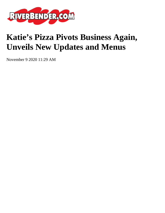

## **Katie's Pizza Pivots Business Again, Unveils New Updates and Menus**

November 9 2020 11:29 AM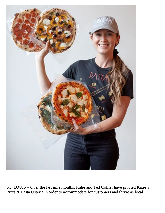

ST. LOUIS – Over the last nine months, Katie and Ted Collier have pivoted Katie's Pizza & Pasta Osteria in order to accommodate for customers and thrive as local